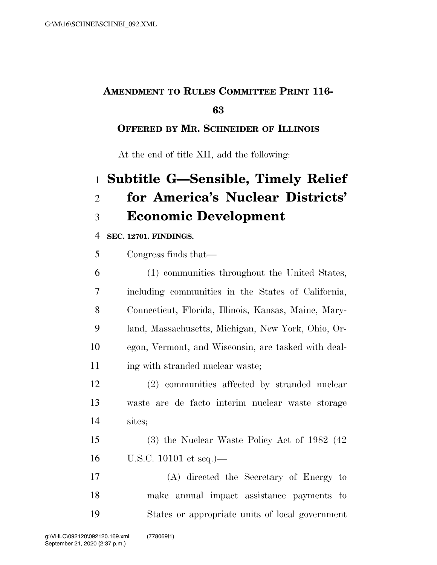# **AMENDMENT TO RULES COMMITTEE PRINT 116-**

#### 

### **OFFERED BY MR. SCHNEIDER OF ILLINOIS**

At the end of title XII, add the following:

# **Subtitle G—Sensible, Timely Relief for America's Nuclear Districts' Economic Development**

#### **SEC. 12701. FINDINGS.**

| 5  | Congress finds that—                                 |
|----|------------------------------------------------------|
| 6  | (1) communities throughout the United States,        |
| 7  | including communities in the States of California,   |
| 8  | Connecticut, Florida, Illinois, Kansas, Maine, Mary- |
| 9  | land, Massachusetts, Michigan, New York, Ohio, Or-   |
| 10 | egon, Vermont, and Wisconsin, are tasked with deal-  |
|    |                                                      |

11 ing with stranded nuclear waste;

 (2) communities affected by stranded nuclear waste are de facto interim nuclear waste storage sites;

 (3) the Nuclear Waste Policy Act of 1982 (42 U.S.C. 10101 et seq.)—

 (A) directed the Secretary of Energy to make annual impact assistance payments to States or appropriate units of local government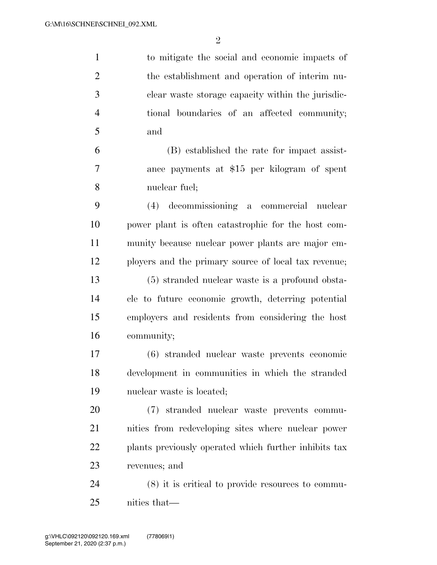| $\mathbf{1}$   | to mitigate the social and economic impacts of        |
|----------------|-------------------------------------------------------|
| $\overline{2}$ | the establishment and operation of interim nu-        |
| 3              | clear waste storage capacity within the jurisdic-     |
| $\overline{4}$ | tional boundaries of an affected community;           |
| $\mathfrak{S}$ | and                                                   |
| 6              | (B) established the rate for impact assist-           |
| $\tau$         | ance payments at \$15 per kilogram of spent           |
| 8              | nuclear fuel;                                         |
| 9              | (4) decommissioning a commercial nuclear              |
| 10             | power plant is often catastrophic for the host com-   |
| 11             | munity because nuclear power plants are major em-     |
| 12             | ployers and the primary source of local tax revenue;  |
| 13             | (5) stranded nuclear waste is a profound obsta-       |
| 14             | cle to future economic growth, deterring potential    |
| 15             | employers and residents from considering the host     |
| 16             | community;                                            |
| 17             | (6) stranded nuclear waste prevents economic          |
| 18             | development in communities in which the stranded      |
| 19             | nuclear waste is located;                             |
| 20             | (7) stranded nuclear waste prevents commu-            |
| 21             | nities from redeveloping sites where nuclear power    |
| 22             | plants previously operated which further inhibits tax |
| 23             | revenues; and                                         |
| 24             | $(8)$ it is critical to provide resources to commu-   |
| 25             | nities that—                                          |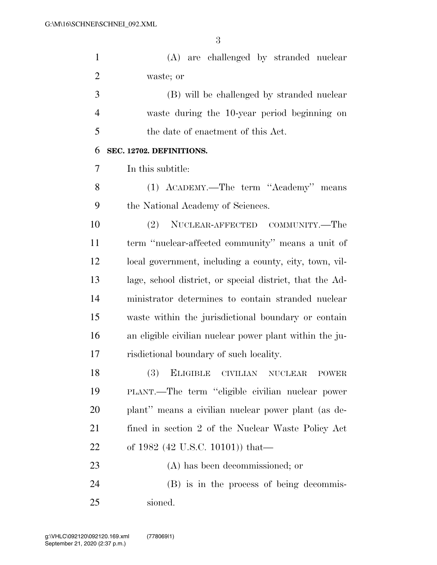| $\mathbf{1}$   | (A) are challenged by stranded nuclear                     |
|----------------|------------------------------------------------------------|
| $\overline{2}$ | waste; or                                                  |
| 3              | (B) will be challenged by stranded nuclear                 |
| $\overline{4}$ | waste during the 10-year period beginning on               |
| 5              | the date of enactment of this Act.                         |
| 6              | SEC. 12702. DEFINITIONS.                                   |
| 7              | In this subtitle:                                          |
| 8              | (1) ACADEMY.—The term "Academy" means                      |
| 9              | the National Academy of Sciences.                          |
| 10             | NUCLEAR-AFFECTED COMMUNITY.—The<br>(2)                     |
| 11             | term "nuclear-affected community" means a unit of          |
| 12             | local government, including a county, city, town, vil-     |
| 13             | lage, school district, or special district, that the Ad-   |
| 14             | ministrator determines to contain stranded nuclear         |
| 15             | waste within the jurisdictional boundary or contain        |
| 16             | an eligible civilian nuclear power plant within the ju-    |
| 17             | risdictional boundary of such locality.                    |
| 18             | (3)<br><b>ELIGIBLE</b><br>CIVILIAN NUCLEAR<br><b>POWER</b> |
| 19             | PLANT.—The term "eligible civilian nuclear power           |
| 20             | plant" means a civilian nuclear power plant (as de-        |
| 21             | fined in section 2 of the Nuclear Waste Policy Act         |
| 22             | of 1982 (42 U.S.C. 10101)) that—                           |
| 23             | (A) has been decommissioned; or                            |
| 24             | (B) is in the process of being decommis-                   |
| 25             | sioned.                                                    |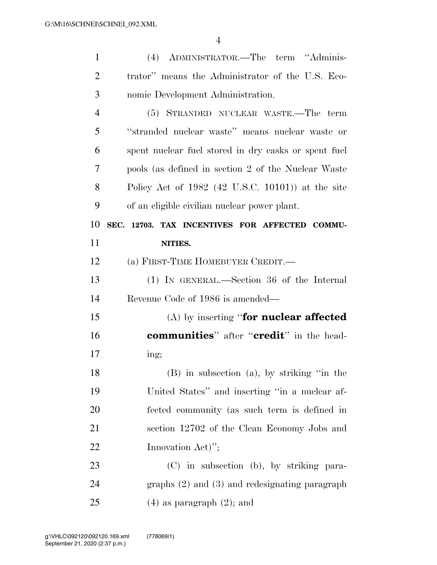| $\mathbf{1}$   | (4) ADMINISTRATOR.—The term "Adminis-                     |
|----------------|-----------------------------------------------------------|
| $\overline{2}$ | trator" means the Administrator of the U.S. Eco-          |
| 3              | nomic Development Administration.                         |
| $\overline{4}$ | (5) STRANDED NUCLEAR WASTE.—The term                      |
| 5              | "stranded nuclear waste" means nuclear waste or           |
| 6              | spent nuclear fuel stored in dry casks or spent fuel      |
| 7              | pools (as defined in section 2 of the Nuclear Waste       |
| 8              | Policy Act of $1982$ (42 U.S.C. 10101)) at the site       |
| 9              | of an eligible civilian nuclear power plant.              |
| 10             | SEC. 12703. TAX INCENTIVES FOR AFFECTED COMMU-            |
| 11             | NITIES.                                                   |
| 12             | (a) FIRST-TIME HOMEBUYER CREDIT.—                         |
|                |                                                           |
| 13             | $(1)$ IN GENERAL.—Section 36 of the Internal              |
| 14             | Revenue Code of 1986 is amended—                          |
| 15             | $(A)$ by inserting "for nuclear affected"                 |
| 16             | <b>communities</b> " after " <b>credit</b> " in the head- |
| 17             | ing;                                                      |
| 18             | $(B)$ in subsection (a), by striking "in the              |
| 19             | United States" and inserting "in a nuclear af-            |
| 20             | fected community (as such term is defined in              |
| 21             | section 12702 of the Clean Economy Jobs and               |
| 22             | Innovation Act)";                                         |
| 23             | (C) in subsection (b), by striking para-                  |
| 24             | graphs $(2)$ and $(3)$ and redesignating paragraph        |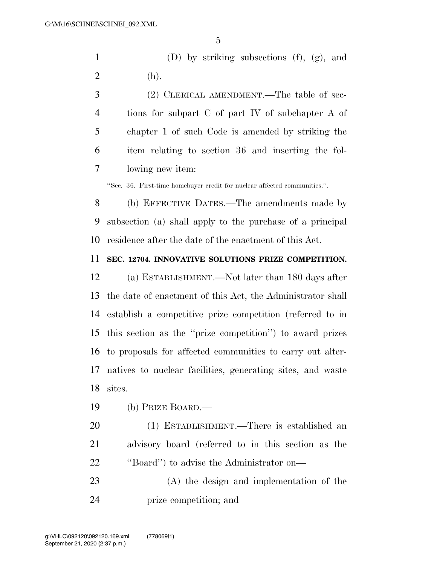1 (D) by striking subsections  $(f)$ ,  $(g)$ , and 2 (h).

 (2) CLERICAL AMENDMENT.—The table of sec- tions for subpart C of part IV of subchapter A of chapter 1 of such Code is amended by striking the item relating to section 36 and inserting the fol-lowing new item:

''Sec. 36. First-time homebuyer credit for nuclear affected communities.''.

 (b) EFFECTIVE DATES.—The amendments made by subsection (a) shall apply to the purchase of a principal residence after the date of the enactment of this Act.

#### **SEC. 12704. INNOVATIVE SOLUTIONS PRIZE COMPETITION.**

 (a) ESTABLISHMENT.—Not later than 180 days after the date of enactment of this Act, the Administrator shall establish a competitive prize competition (referred to in this section as the ''prize competition'') to award prizes to proposals for affected communities to carry out alter- natives to nuclear facilities, generating sites, and waste sites.

(b) PRIZE BOARD.—

 (1) ESTABLISHMENT.—There is established an advisory board (referred to in this section as the 22 "Board" to advise the Administrator on—

 (A) the design and implementation of the prize competition; and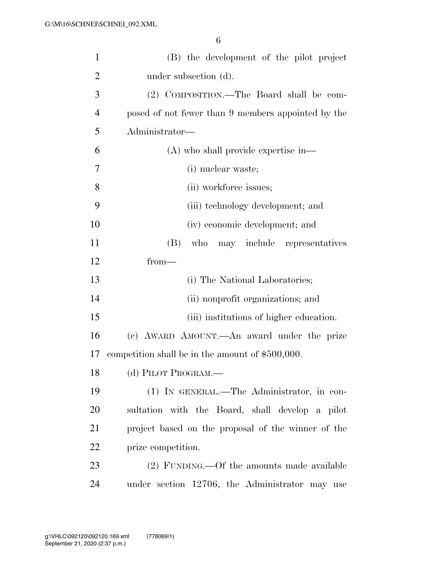| $\mathbf{1}$   | (B) the development of the pilot project           |
|----------------|----------------------------------------------------|
| $\overline{2}$ | under subsection (d).                              |
| 3              | (2) COMPOSITION.—The Board shall be com-           |
| $\overline{4}$ | posed of not fewer than 9 members appointed by the |
| 5              | Administrator-                                     |
| 6              | $(A)$ who shall provide expertise in—              |
| 7              | (i) nuclear waste;                                 |
| 8              | (ii) workforce issues;                             |
| 9              | (iii) technology development; and                  |
| 10             | (iv) economic development; and                     |
| 11             | who may include representatives<br>(B)             |
| 12             | $from-$                                            |
| 13             | (i) The National Laboratories;                     |
| 14             | (ii) nonprofit organizations; and                  |
| 15             | (iii) institutions of higher education.            |
| 16             | (c) AWARD AMOUNT.—An award under the prize         |
| 17             | competition shall be in the amount of \$500,000.   |
| 18             | (d) PILOT PROGRAM.—                                |
| 19             | (1) IN GENERAL.—The Administrator, in con-         |
| 20             | sultation with the Board, shall develop a pilot    |
| 21             | project based on the proposal of the winner of the |
| 22             | prize competition.                                 |
| 23             | (2) FUNDING.—Of the amounts made available         |
| 24             | under section 12706, the Administrator may use     |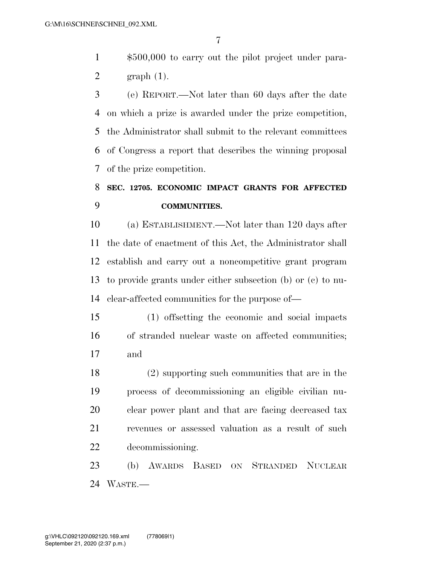\$500,000 to carry out the pilot project under para-graph (1).

 (e) REPORT.—Not later than 60 days after the date on which a prize is awarded under the prize competition, the Administrator shall submit to the relevant committees of Congress a report that describes the winning proposal of the prize competition.

## **SEC. 12705. ECONOMIC IMPACT GRANTS FOR AFFECTED COMMUNITIES.**

 (a) ESTABLISHMENT.—Not later than 120 days after the date of enactment of this Act, the Administrator shall establish and carry out a noncompetitive grant program to provide grants under either subsection (b) or (c) to nu-clear-affected communities for the purpose of—

 (1) offsetting the economic and social impacts of stranded nuclear waste on affected communities; and

 (2) supporting such communities that are in the process of decommissioning an eligible civilian nu- clear power plant and that are facing decreased tax revenues or assessed valuation as a result of such decommissioning.

 (b) AWARDS BASED ON STRANDED NUCLEAR WASTE.—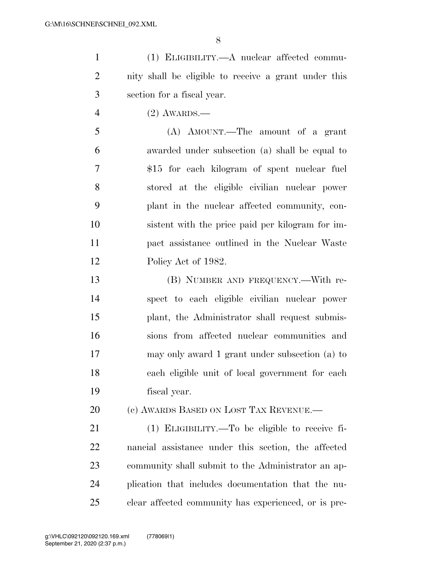(1) ELIGIBILITY.—A nuclear affected commu- nity shall be eligible to receive a grant under this section for a fiscal year.

(2) AWARDS.—

 (A) AMOUNT.—The amount of a grant awarded under subsection (a) shall be equal to \$15 for each kilogram of spent nuclear fuel stored at the eligible civilian nuclear power plant in the nuclear affected community, con- sistent with the price paid per kilogram for im- pact assistance outlined in the Nuclear Waste 12 Policy Act of 1982.

 (B) NUMBER AND FREQUENCY.—With re- spect to each eligible civilian nuclear power plant, the Administrator shall request submis- sions from affected nuclear communities and may only award 1 grant under subsection (a) to each eligible unit of local government for each fiscal year.

20 (c) AWARDS BASED ON LOST TAX REVENUE.

 (1) ELIGIBILITY.—To be eligible to receive fi- nancial assistance under this section, the affected community shall submit to the Administrator an ap- plication that includes documentation that the nu-clear affected community has experienced, or is pre-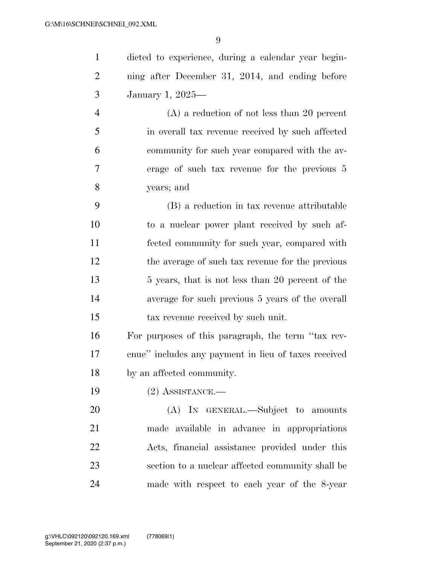dicted to experience, during a calendar year begin- ning after December 31, 2014, and ending before January 1, 2025— (A) a reduction of not less than 20 percent

 in overall tax revenue received by such affected community for such year compared with the av- erage of such tax revenue for the previous 5 years; and

 (B) a reduction in tax revenue attributable to a nuclear power plant received by such af- fected community for such year, compared with the average of such tax revenue for the previous 13 5 years, that is not less than 20 percent of the average for such previous 5 years of the overall tax revenue received by such unit.

 For purposes of this paragraph, the term ''tax rev- enue'' includes any payment in lieu of taxes received by an affected community.

(2) ASSISTANCE.—

20 (A) IN GENERAL.—Subject to amounts made available in advance in appropriations Acts, financial assistance provided under this section to a nuclear affected community shall be made with respect to each year of the 8-year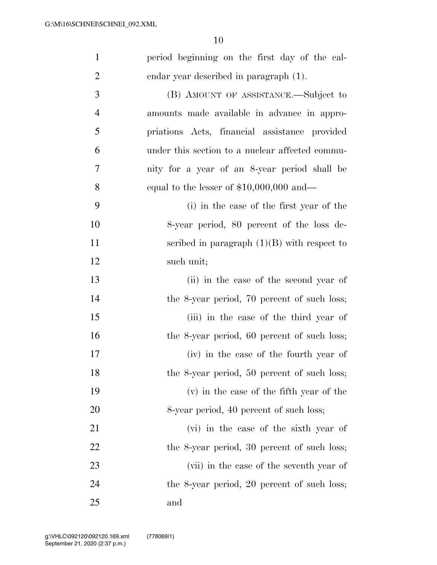| $\mathbf{1}$   | period beginning on the first day of the cal-   |
|----------------|-------------------------------------------------|
| $\overline{2}$ | endar year described in paragraph (1).          |
| 3              | (B) AMOUNT OF ASSISTANCE.—Subject to            |
| $\overline{4}$ | amounts made available in advance in appro-     |
| 5              | priations Acts, financial assistance provided   |
| 6              | under this section to a nuclear affected commu- |
| 7              | nity for a year of an 8-year period shall be    |
| 8              | equal to the lesser of $$10,000,000$ and—       |
| 9              | (i) in the case of the first year of the        |
| 10             | 8-year period, 80 percent of the loss de-       |
| 11             | scribed in paragraph $(1)(B)$ with respect to   |
| 12             | such unit;                                      |
| 13             | (ii) in the case of the second year of          |
| 14             | the 8-year period, 70 percent of such loss;     |
| 15             | (iii) in the case of the third year of          |
| 16             | the 8-year period, 60 percent of such loss;     |
| 17             | (iv) in the case of the fourth year of          |
| 18             | the 8-year period, 50 percent of such loss;     |
| 19             | (v) in the case of the fifth year of the        |
| <b>20</b>      | 8-year period, 40 percent of such loss;         |
| 21             | (vi) in the case of the sixth year of           |
| <u>22</u>      | the 8-year period, 30 percent of such loss;     |
| 23             | (vii) in the case of the seventh year of        |
| 24             | the 8-year period, 20 percent of such loss;     |
| 25             | and                                             |